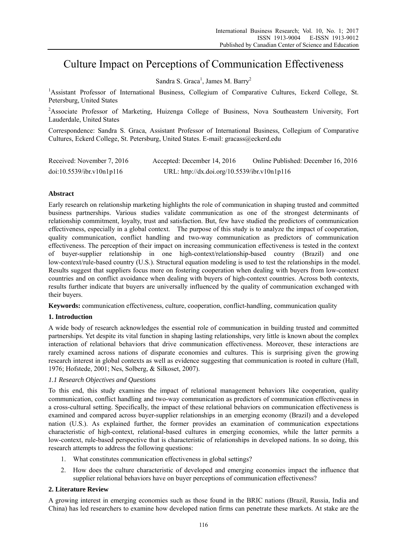# Culture Impact on Perceptions of Communication Effectiveness

Sandra S. Graca<sup>1</sup>, James M. Barry<sup>2</sup>

<sup>1</sup>Assistant Professor of International Business, Collegium of Comparative Cultures, Eckerd College, St. Petersburg, United States

<sup>2</sup>Associate Professor of Marketing, Huizenga College of Business, Nova Southeastern University, Fort Lauderdale, United States

Correspondence: Sandra S. Graca, Assistant Professor of International Business, Collegium of Comparative Cultures, Eckerd College, St. Petersburg, United States. E-mail: gracass@eckerd.edu

| Received: November 7, 2016 | Accepted: December 14, 2016                  | Online Published: December 16, 2016 |
|----------------------------|----------------------------------------------|-------------------------------------|
| doi:10.5539/ibr.v10n1p116  | URL: http://dx.doi.org/10.5539/ibr.v10n1p116 |                                     |

# **Abstract**

Early research on relationship marketing highlights the role of communication in shaping trusted and committed business partnerships. Various studies validate communication as one of the strongest determinants of relationship commitment, loyalty, trust and satisfaction. But, few have studied the predictors of communication effectiveness, especially in a global context. The purpose of this study is to analyze the impact of cooperation, quality communication, conflict handling and two-way communication as predictors of communication effectiveness. The perception of their impact on increasing communication effectiveness is tested in the context of buyer-supplier relationship in one high-context/relationship-based country (Brazil) and one low-context/rule-based country (U.S.). Structural equation modeling is used to test the relationships in the model. Results suggest that suppliers focus more on fostering cooperation when dealing with buyers from low-context countries and on conflict avoidance when dealing with buyers of high-context countries. Across both contexts, results further indicate that buyers are universally influenced by the quality of communication exchanged with their buyers.

**Keywords:** communication effectiveness, culture, cooperation, conflict-handling, communication quality

# **1. Introduction**

A wide body of research acknowledges the essential role of communication in building trusted and committed partnerships. Yet despite its vital function in shaping lasting relationships, very little is known about the complex interaction of relational behaviors that drive communication effectiveness. Moreover, these interactions are rarely examined across nations of disparate economies and cultures. This is surprising given the growing research interest in global contexts as well as evidence suggesting that communication is rooted in culture (Hall, 1976; Hofstede, 2001; Nes, Solberg, & Silkoset, 2007).

# *1.1 Research Objectives and Questions*

To this end, this study examines the impact of relational management behaviors like cooperation, quality communication, conflict handling and two-way communication as predictors of communication effectiveness in a cross-cultural setting. Specifically, the impact of these relational behaviors on communication effectiveness is examined and compared across buyer-supplier relationships in an emerging economy (Brazil) and a developed nation (U.S.). As explained further, the former provides an examination of communication expectations characteristic of high-context, relational-based cultures in emerging economies, while the latter permits a low-context, rule-based perspective that is characteristic of relationships in developed nations. In so doing, this research attempts to address the following questions:

- 1. What constitutes communication effectiveness in global settings?
- 2. How does the culture characteristic of developed and emerging economies impact the influence that supplier relational behaviors have on buyer perceptions of communication effectiveness?

# **2. Literature Review**

A growing interest in emerging economies such as those found in the BRIC nations (Brazil, Russia, India and China) has led researchers to examine how developed nation firms can penetrate these markets. At stake are the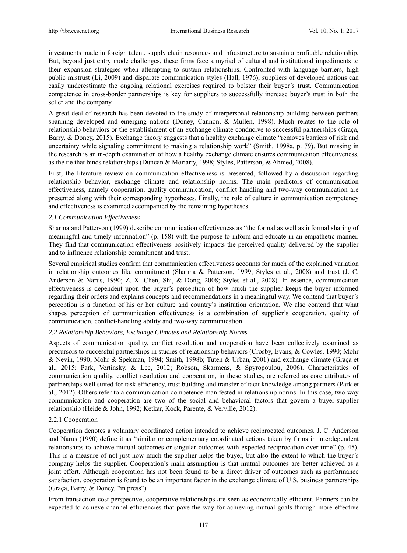investments made in foreign talent, supply chain resources and infrastructure to sustain a profitable relationship. But, beyond just entry mode challenges, these firms face a myriad of cultural and institutional impediments to their expansion strategies when attempting to sustain relationships. Confronted with language barriers, high public mistrust (Li, 2009) and disparate communication styles (Hall, 1976), suppliers of developed nations can easily underestimate the ongoing relational exercises required to bolster their buyer's trust. Communication competence in cross-border partnerships is key for suppliers to successfully increase buyer's trust in both the seller and the company.

A great deal of research has been devoted to the study of interpersonal relationship building between partners spanning developed and emerging nations (Doney, Cannon, & Mullen, 1998). Much relates to the role of relationship behaviors or the establishment of an exchange climate conducive to successful partnerships (Graça, Barry, & Doney, 2015). Exchange theory suggests that a healthy exchange climate "removes barriers of risk and uncertainty while signaling commitment to making a relationship work" (Smith, 1998a, p. 79). But missing in the research is an in-depth examination of how a healthy exchange climate ensures communication effectiveness, as the tie that binds relationships (Duncan & Moriarty, 1998; Styles, Patterson, & Ahmed, 2008).

First, the literature review on communication effectiveness is presented, followed by a discussion regarding relationship behavior, exchange climate and relationship norms. The main predictors of communication effectiveness, namely cooperation, quality communication, conflict handling and two-way communication are presented along with their corresponding hypotheses. Finally, the role of culture in communication competency and effectiveness is examined accompanied by the remaining hypotheses.

## *2.1 Communication Effectiveness*

Sharma and Patterson (1999) describe communication effectiveness as "the formal as well as informal sharing of meaningful and timely information" (p. 158) with the purpose to inform and educate in an empathetic manner. They find that communication effectiveness positively impacts the perceived quality delivered by the supplier and to influence relationship commitment and trust.

Several empirical studies confirm that communication effectiveness accounts for much of the explained variation in relationship outcomes like commitment (Sharma & Patterson, 1999; Styles et al., 2008) and trust (J. C. Anderson & Narus, 1990; Z. X. Chen, Shi, & Dong, 2008; Styles et al., 2008). In essence, communication effectiveness is dependent upon the buyer's perception of how much the supplier keeps the buyer informed regarding their orders and explains concepts and recommendations in a meaningful way. We contend that buyer's perception is a function of his or her culture and country's institution orientation. We also contend that what shapes perception of communication effectiveness is a combination of supplier's cooperation, quality of communication, conflict-handling ability and two-way communication.

# *2.2 Relationship Behaviors, Exchange Climates and Relationship Norms*

Aspects of communication quality, conflict resolution and cooperation have been collectively examined as precursors to successful partnerships in studies of relationship behaviors (Crosby, Evans, & Cowles, 1990; Mohr & Nevin, 1990; Mohr & Spekman, 1994; Smith, 1998b; Tuten & Urban, 2001) and exchange climate (Graça et al., 2015; Park, Vertinsky, & Lee, 2012; Robson, Skarmeas, & Spyropoulou, 2006). Characteristics of communication quality, conflict resolution and cooperation, in these studies, are referred as core attributes of partnerships well suited for task efficiency, trust building and transfer of tacit knowledge among partners (Park et al., 2012). Others refer to a communication competence manifested in relationship norms. In this case, two-way communication and cooperation are two of the social and behavioral factors that govern a buyer-supplier relationship (Heide & John, 1992; Ketkar, Kock, Parente, & Verville, 2012).

# 2.2.1 Cooperation

Cooperation denotes a voluntary coordinated action intended to achieve reciprocated outcomes. J. C. Anderson and Narus (1990) define it as "similar or complementary coordinated actions taken by firms in interdependent relationships to achieve mutual outcomes or singular outcomes with expected reciprocation over time" (p. 45). This is a measure of not just how much the supplier helps the buyer, but also the extent to which the buyer's company helps the supplier. Cooperation's main assumption is that mutual outcomes are better achieved as a joint effort. Although cooperation has not been found to be a direct driver of outcomes such as performance satisfaction, cooperation is found to be an important factor in the exchange climate of U.S. business partnerships (Graça, Barry, & Doney, "in press").

From transaction cost perspective, cooperative relationships are seen as economically efficient. Partners can be expected to achieve channel efficiencies that pave the way for achieving mutual goals through more effective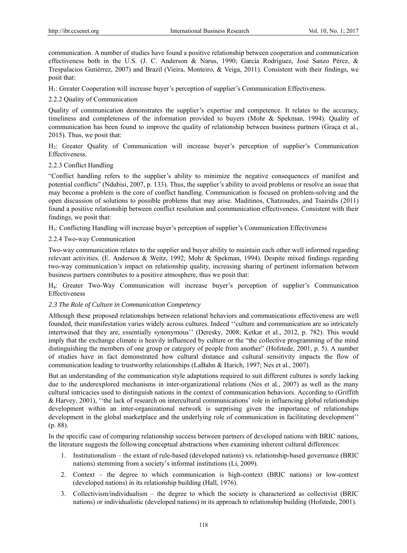communication. A number of studies have found a positive relationship between cooperation and communication effectiveness both in the U.S. (J. C. Anderson & Narus, 1990; García Rodríguez, José Sanzo Pérez, & Trespalacios Gutiérrez, 2007) and Brazil (Vieira, Monteiro, & Veiga, 2011). Consistent with their findings, we posit that:

H1: Greater Cooperation will increase buyer's perception of supplier's Communication Effectiveness.

# 2.2.2 Quality of Communication

Quality of communication demonstrates the supplier's expertise and competence. It relates to the accuracy, timeliness and completeness of the information provided to buyers (Mohr & Spekman, 1994). Quality of communication has been found to improve the quality of relationship between business partners (Graça et al., 2015). Thus, we posit that:

H2: Greater Quality of Communication will increase buyer's perception of supplier's Communication Effectiveness.

## 2.2.3 Conflict Handling

"Conflict handling refers to the supplier's ability to minimize the negative consequences of manifest and potential conflicts" (Ndubisi, 2007, p. 133). Thus, the supplier's ability to avoid problems or resolve an issue that may become a problem is the core of conflict handling. Communication is focused on problem-solving and the open discussion of solutions to possible problems that may arise. Maditinos, Chatzoudes, and Tsairidis (2011) found a positive relationship between conflict resolution and communication effectiveness. Consistent with their findings, we posit that:

H3: Conflicting Handling will increase buyer's perception of supplier's Communication Effectiveness

## 2.2.4 Two-way Communication

Two-way communication relates to the supplier and buyer ability to maintain each other well informed regarding relevant activities. (E. Anderson & Weitz, 1992; Mohr & Spekman, 1994). Despite mixed findings regarding two-way communication's impact on relationship quality, increasing sharing of pertinent information between business partners contributes to a positive atmosphere, thus we posit that:

H4: Greater Two-Way Communication will increase buyer's perception of supplier's Communication Effectiveness

## *2.3 The Role of Culture in Communication Competency*

Although these proposed relationships between relational behaviors and communications effectiveness are well founded, their manifestation varies widely across cultures. Indeed ''culture and communication are so intricately intertwined that they are, essentially synonymous'' (Deresky, 2008; Ketkar et al., 2012, p. 782). This would imply that the exchange climate is heavily influenced by culture or the "the collective programming of the mind distinguishing the members of one group or category of people from another" (Hofstede, 2001, p. 5). A number of studies have in fact demonstrated how cultural distance and cultural sensitivity impacts the flow of communication leading to trustworthy relationships (LaBahn & Harich, 1997; Nes et al., 2007).

But an understanding of the communication style adaptations required to suit different cultures is sorely lacking due to the underexplored mechanisms in inter-organizational relations (Nes et al., 2007) as well as the many cultural intricacies used to distinguish nations in the context of communication behaviors. According to (Griffith & Harvey, 2001), ''the lack of research on intercultural communications' role in influencing global relationships development within an inter-organizational network is surprising given the importance of relationships development in the global marketplace and the underlying role of communication in facilitating development'' (p. 88).

In the specific case of comparing relationship success between partners of developed nations with BRIC nations, the literature suggests the following conceptual abstractions when examining inherent cultural differences:

- 1. Institutionalism the extant of rule-based (developed nations) vs. relationship-based governance (BRIC nations) stemming from a society's informal institutions (Li, 2009).
- 2. Context the degree to which communication is high-context (BRIC nations) or low-context (developed nations) in its relationship building (Hall, 1976).
- 3. Collectivism/individualism the degree to which the society is characterized as collectivist (BRIC nations) or individualistic (developed nations) in its approach to relationship building (Hofstede, 2001).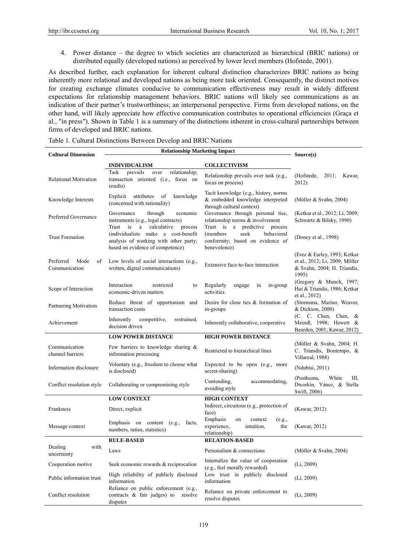4. Power distance – the degree to which societies are characterized as hierarchical (BRIC nations) or distributed equally (developed nations) as perceived by lower level members (Hofstede, 2001).

As described further, each explanation for inherent cultural distinction characterizes BRIC nations as being inherently more relational and developed nations as being more task oriented. Consequently, the distinct motives for creating exchange climates conducive to communication effectiveness may result in widely different expectations for relationship management behaviors. BRIC nations will likely see communications as an indication of their partner's trustworthiness; an interpersonal perspective. Firms from developed nations, on the other hand, will likely appreciate how effective communication contributes to operational efficiencies (Graça et al., "in press"). Shown in Table 1 is a summary of the distinctions inherent in cross-cultural partnerships between firms of developed and BRIC nations.

| <b>Cultural Dimension</b>                | <b>Relationship Marketing Impact</b>                                                                                                                           | Source(s)                                                                                                            |                                                                                                        |  |  |  |
|------------------------------------------|----------------------------------------------------------------------------------------------------------------------------------------------------------------|----------------------------------------------------------------------------------------------------------------------|--------------------------------------------------------------------------------------------------------|--|--|--|
|                                          | <b>INDIVIDUALISM</b>                                                                                                                                           | <b>COLLECTIVISM</b>                                                                                                  |                                                                                                        |  |  |  |
| <b>Relational Motivation</b>             | Task<br>prevails<br>relationship;<br>over<br>transaction oriented (i.e., focus on<br>results)                                                                  | Relationship prevails over task (e.g.,<br>focus on process)                                                          | (Hofstede,<br>2011;<br>Kawar,<br>2012)                                                                 |  |  |  |
| Knowledge Interests                      | Explicit<br>attributes<br>of<br>knowledge<br>(concerned with rationality)                                                                                      | Tacit knowledge (e.g., history, norms<br>& embedded knowledge interpreted<br>through cultural context)               | (Möller & Svahn, 2004)                                                                                 |  |  |  |
| Preferred Governance                     | Governance<br>economic<br>through<br>instruments (e.g., legal contracts)                                                                                       | Governance through personal ties,<br>relationship norms & involvement                                                | (Ketkar et al., 2012; Li, 2009;<br>Schwartz & Bilsky, 1990)                                            |  |  |  |
| <b>Trust Formation</b>                   | calculative<br>Trust<br>is<br>a<br>process<br>(individualists make a cost-benefit<br>analysis of working with other party;<br>based on evidence of competence) | Trust is a predictive process<br>seek<br>behavioral<br>(members)<br>conformity; based on evidence of<br>benevolence) | (Doney et al., 1998)                                                                                   |  |  |  |
| Preferred<br>Mode<br>of<br>Communication | Low levels of social interactions (e.g.,<br>written, digital communications)                                                                                   | Extensive face-to-face interaction                                                                                   | (Erez & Earley, 1993; Ketkar<br>et al., 2012; Li, 2009; Möller<br>& Svahn, 2004; H. Triandis,<br>1995) |  |  |  |
| Scope of Interaction                     | Interaction<br>restricted<br>to<br>economic-driven matters                                                                                                     | Regularly<br>engage<br>in-group<br>in<br>activities                                                                  | (Gregory & Munch, 1997;<br>Hui & Triandis, 1986; Ketkar<br>et al., 2012)                               |  |  |  |
| Partnering Motivation                    | Reduce threat of opportunism and<br>transaction costs                                                                                                          | Desire for close ties & formation of<br>in-groups                                                                    | (Steensma, Marino, Weaver,<br>& Dickson, 2000)                                                         |  |  |  |
| Achievement                              | Inherently<br>competitive,<br>restrained.<br>decision driven                                                                                                   | Inherently collaborative, cooperative                                                                                | (C. C. Chen, Chen, &<br>Meindl, 1998; Hewett &<br>Bearden, 2001; Kawar, 2012)                          |  |  |  |
|                                          | <b>LOW POWER DISTANCE</b>                                                                                                                                      | <b>HIGH POWER DISTANCE</b>                                                                                           |                                                                                                        |  |  |  |
| Communication<br>channel barriers        | Few barriers to knowledge sharing $\&$<br>information processing                                                                                               | Restricted to hierarchical lines                                                                                     | (Möller & Svahn, 2004; H.<br>C. Triandis, Bontempo, &<br>Villareal, 1988)                              |  |  |  |
| Information disclosure                   | Voluntary (e.g., freedom to choose what<br>is disclosed)                                                                                                       | Expected to be open (e.g., more<br>secret-sharing)                                                                   | (Ndubisi, 2011)                                                                                        |  |  |  |
| Conflict resolution style                | Collaborating or compromising style                                                                                                                            | Contending,<br>accommodating,<br>avoiding style                                                                      | (Posthuma,<br>White<br>Ш.<br>Dworkin, Yánez, & Stella<br>Swift, 2006)                                  |  |  |  |
|                                          | <b>LOW CONTEXT</b>                                                                                                                                             | <b>HIGH CONTEXT</b>                                                                                                  |                                                                                                        |  |  |  |
| Frankness                                | Direct, explicit                                                                                                                                               | Indirect, circuitous (e.g., protection of<br>face)                                                                   | (Kawar, 2012)                                                                                          |  |  |  |
| Message context                          | Emphasis on content (e.g.,<br>facts,<br>numbers, ratios, statistics)                                                                                           | Emphasis<br>on<br>context<br>(e.g.,<br>experience,<br>intuition,<br>the<br>relationship)                             | (Kawar, 2012)                                                                                          |  |  |  |
|                                          | <b>RULE-BASED</b><br><b>RELATION-BASED</b>                                                                                                                     |                                                                                                                      |                                                                                                        |  |  |  |
| Dealing<br>with<br>uncertainty           | Laws                                                                                                                                                           | Personalism & connections                                                                                            | (Möller & Svahn, 2004)                                                                                 |  |  |  |
| Cooperation motive                       | Seek economic rewards & reciprocation                                                                                                                          | Internalize the value of cooperation<br>(e.g., feel morally rewarded)                                                | (Li, 2009)                                                                                             |  |  |  |
| Public information trust                 | High reliability of publicly disclosed<br>information                                                                                                          | Low trust in publicly disclosed<br>information                                                                       | (Li, 2009)                                                                                             |  |  |  |
| Conflict resolution                      | Reliance on public enforcement (e.g.,<br>contracts & fair judges) to<br>resolve<br>disputes                                                                    | Reliance on private enforcement to<br>resolve disputes                                                               | (Li, 2009)                                                                                             |  |  |  |

| Table 1. Cultural Distinctions Between Develop and BRIC Nations |  |
|-----------------------------------------------------------------|--|
|-----------------------------------------------------------------|--|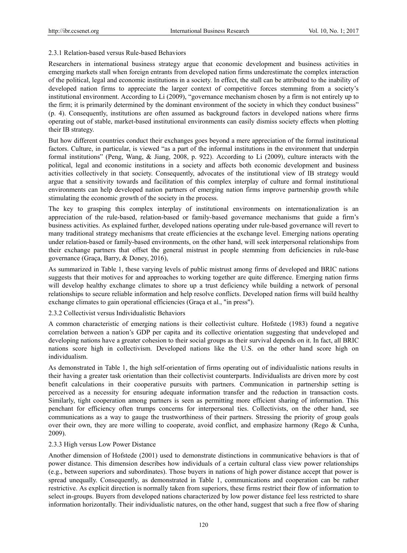## 2.3.1 Relation-based versus Rule-based Behaviors

Researchers in international business strategy argue that economic development and business activities in emerging markets stall when foreign entrants from developed nation firms underestimate the complex interaction of the political, legal and economic institutions in a society. In effect, the stall can be attributed to the inability of developed nation firms to appreciate the larger context of competitive forces stemming from a society's institutional environment. According to Li (2009), "governance mechanism chosen by a firm is not entirely up to the firm; it is primarily determined by the dominant environment of the society in which they conduct business" (p. 4). Consequently, institutions are often assumed as background factors in developed nations where firms operating out of stable, market-based institutional environments can easily dismiss society effects when plotting their IB strategy.

But how different countries conduct their exchanges goes beyond a mere appreciation of the formal institutional factors. Culture, in particular, is viewed "as a part of the informal institutions in the environment that underpin formal institutions" (Peng, Wang, & Jiang, 2008, p. 922). According to Li (2009), culture interacts with the political, legal and economic institutions in a society and affects both economic development and business activities collectively in that society. Consequently, advocates of the institutional view of IB strategy would argue that a sensitivity towards and facilitation of this complex interplay of culture and formal institutional environments can help developed nation partners of emerging nation firms improve partnership growth while stimulating the economic growth of the society in the process.

The key to grasping this complex interplay of institutional environments on internationalization is an appreciation of the rule-based, relation-based or family-based governance mechanisms that guide a firm's business activities. As explained further, developed nations operating under rule-based governance will revert to many traditional strategy mechanisms that create efficiencies at the exchange level. Emerging nations operating under relation-based or family-based environments, on the other hand, will seek interpersonal relationships from their exchange partners that offset the general mistrust in people stemming from deficiencies in rule-base governance (Graça, Barry, & Doney, 2016),

As summarized in Table 1, these varying levels of public mistrust among firms of developed and BRIC nations suggests that their motives for and approaches to working together are quite difference. Emerging nation firms will develop healthy exchange climates to shore up a trust deficiency while building a network of personal relationships to secure reliable information and help resolve conflicts. Developed nation firms will build healthy exchange climates to gain operational efficiencies (Graça et al., "in press").

## 2.3.2 Collectivist versus Individualistic Behaviors

A common characteristic of emerging nations is their collectivist culture. Hofstede (1983) found a negative correlation between a nation's GDP per capita and its collective orientation suggesting that undeveloped and developing nations have a greater cohesion to their social groups as their survival depends on it. In fact, all BRIC nations score high in collectivism. Developed nations like the U.S. on the other hand score high on individualism.

As demonstrated in Table 1, the high self-orientation of firms operating out of individualistic nations results in their having a greater task orientation than their collectivist counterparts. Individualists are driven more by cost benefit calculations in their cooperative pursuits with partners. Communication in partnership setting is perceived as a necessity for ensuring adequate information transfer and the reduction in transaction costs. Similarly, tight cooperation among partners is seen as permitting more efficient sharing of information. This penchant for efficiency often trumps concerns for interpersonal ties. Collectivists, on the other hand, see communications as a way to gauge the trustworthiness of their partners. Stressing the priority of group goals over their own, they are more willing to cooperate, avoid conflict, and emphasize harmony (Rego & Cunha, 2009).

## 2.3.3 High versus Low Power Distance

Another dimension of Hofstede (2001) used to demonstrate distinctions in communicative behaviors is that of power distance. This dimension describes how individuals of a certain cultural class view power relationships (e.g., between superiors and subordinates). Those buyers in nations of high power distance accept that power is spread unequally. Consequently, as demonstrated in Table 1, communications and cooperation can be rather restrictive. As explicit direction is normally taken from superiors, these firms restrict their flow of information to select in-groups. Buyers from developed nations characterized by low power distance feel less restricted to share information horizontally. Their individualistic natures, on the other hand, suggest that such a free flow of sharing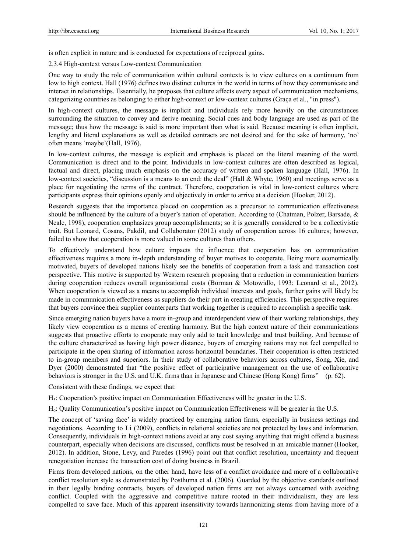is often explicit in nature and is conducted for expectations of reciprocal gains.

2.3.4 High-context versus Low-context Communication

One way to study the role of communication within cultural contexts is to view cultures on a continuum from low to high context. Hall (1976) defines two distinct cultures in the world in terms of how they communicate and interact in relationships. Essentially, he proposes that culture affects every aspect of communication mechanisms, categorizing countries as belonging to either high-context or low-context cultures (Graça et al., "in press").

In high-context cultures, the message is implicit and individuals rely more heavily on the circumstances surrounding the situation to convey and derive meaning. Social cues and body language are used as part of the message; thus how the message is said is more important than what is said. Because meaning is often implicit, lengthy and literal explanations as well as detailed contracts are not desired and for the sake of harmony, 'no' often means 'maybe'(Hall, 1976).

In low-context cultures, the message is explicit and emphasis is placed on the literal meaning of the word. Communication is direct and to the point. Individuals in low-context cultures are often described as logical, factual and direct, placing much emphasis on the accuracy of written and spoken language (Hall, 1976). In low-context societies, "discussion is a means to an end: the deal" (Hall & Whyte, 1960) and meetings serve as a place for negotiating the terms of the contract. Therefore, cooperation is vital in low-context cultures where participants express their opinions openly and objectively in order to arrive at a decision (Hooker, 2012).

Research suggests that the importance placed on cooperation as a precursor to communication effectiveness should be influenced by the culture of a buyer's nation of operation. According to (Chatman, Polzer, Barsade, & Neale, 1998), cooperation emphasizes group accomplishments; so it is generally considered to be a collectivistic trait. But Leonard, Cosans, Pakdil, and Collaborator (2012) study of cooperation across 16 cultures; however, failed to show that cooperation is more valued in some cultures than others.

To effectively understand how culture impacts the influence that cooperation has on communication effectiveness requires a more in-depth understanding of buyer motives to cooperate. Being more economically motivated, buyers of developed nations likely see the benefits of cooperation from a task and transaction cost perspective. This motive is supported by Western research proposing that a reduction in communication barriers during cooperation reduces overall organizational costs (Borman & Motowidlo, 1993; Leonard et al., 2012). When cooperation is viewed as a means to accomplish individual interests and goals, further gains will likely be made in communication effectiveness as suppliers do their part in creating efficiencies. This perspective requires that buyers convince their supplier counterparts that working together is required to accomplish a specific task.

Since emerging nation buyers have a more in-group and interdependent view of their working relationships, they likely view cooperation as a means of creating harmony. But the high context nature of their communications suggests that proactive efforts to cooperate may only add to tacit knowledge and trust building. And because of the culture characterized as having high power distance, buyers of emerging nations may not feel compelled to participate in the open sharing of information across horizontal boundaries. Their cooperation is often restricted to in-group members and superiors. In their study of collaborative behaviors across cultures, Song, Xie, and Dyer (2000) demonstrated that "the positive effect of participative management on the use of collaborative behaviors is stronger in the U.S. and U.K. firms than in Japanese and Chinese (Hong Kong) firms" (p. 62).

Consistent with these findings, we expect that:

H5: Cooperation's positive impact on Communication Effectiveness will be greater in the U.S.

H6: Quality Communication's positive impact on Communication Effectiveness will be greater in the U.S.

The concept of 'saving face' is widely practiced by emerging nation firms, especially in business settings and negotiations. According to Li (2009), conflicts in relational societies are not protected by laws and information. Consequently, individuals in high-context nations avoid at any cost saying anything that might offend a business counterpart, especially when decisions are discussed, conflicts must be resolved in an amicable manner (Hooker, 2012). In addition, Stone, Levy, and Paredes (1996) point out that conflict resolution, uncertainty and frequent renegotiation increase the transaction cost of doing business in Brazil.

Firms from developed nations, on the other hand, have less of a conflict avoidance and more of a collaborative conflict resolution style as demonstrated by Posthuma et al. (2006). Guarded by the objective standards outlined in their legally binding contracts, buyers of developed nation firms are not always concerned with avoiding conflict. Coupled with the aggressive and competitive nature rooted in their individualism, they are less compelled to save face. Much of this apparent insensitivity towards harmonizing stems from having more of a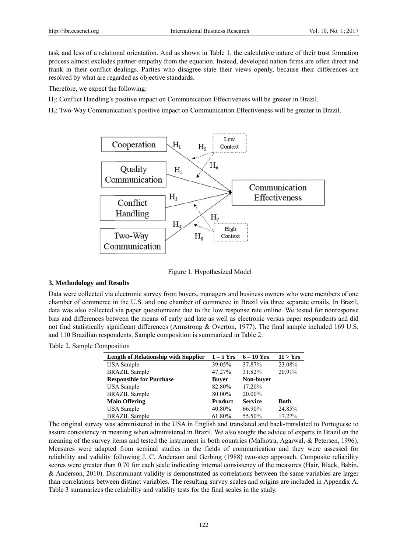task and less of a relational orientation. And as shown in Table 1, the calculative nature of their trust formation process almost excludes partner empathy from the equation. Instead, developed nation firms are often direct and frank in their conflict dealings. Parties who disagree state their views openly, because their differences are resolved by what are regarded as objective standards.

Therefore, we expect the following:

H<sub>7</sub>: Conflict Handling's positive impact on Communication Effectiveness will be greater in Brazil.

H<sub>s</sub>: Two-Way Communication's positive impact on Communication Effectiveness will be greater in Brazil.





#### 3. Methodology and Results

Data were collected via electronic survey from buyers, managers and business owners who were members of one chamber of commerce in the U.S. and one chamber of commerce in Brazil via three separate emails. In Brazil, data was also collected via paper questionnaire due to the low response rate online. We tested for nonresponse bias and differences between the means of early and late as well as electronic versus paper respondents and did not find statistically significant differences (Armstrong & Overton, 1977). The final sample included 169 U.S. and 110 Brazilian respondents. Sample composition is summarized in Table 2:

Table 2. Sample Composition

| <b>Length of Relationship with Supplier</b> | $1 - 5$ Yrs  | $6-10$ Yrs     | 11 > Yrs    |
|---------------------------------------------|--------------|----------------|-------------|
| <b>USA</b> Sample                           | 39.05%       | 37.87%         | 23.08%      |
| <b>BRAZIL Sample</b>                        | 47.27%       | 31.82%         | 20.91%      |
| <b>Responsible for Purchase</b>             | <b>Buver</b> | Non-buyer      |             |
| <b>USA</b> Sample                           | 82.80%       | 17.20%         |             |
| <b>BRAZIL Sample</b>                        | 80.00%       | 20.00%         |             |
| <b>Main Offering</b>                        | Product      | <b>Service</b> | <b>Both</b> |
| <b>USA</b> Sample                           | 40.80%       | 66.90%         | 24.85%      |
| <b>BRAZIL Sample</b>                        | 61.80%       | 55.50%         | 17.27%      |

The original survey was administered in the USA in English and translated and back-translated to Portuguese to assure consistency in meaning when administered in Brazil. We also sought the advice of experts in Brazil on the meaning of the survey items and tested the instrument in both countries (Malhotra, Agarwal, & Petersen, 1996). Measures were adapted from seminal studies in the fields of communication and they were assessed for reliability and validity following J. C. Anderson and Gerbing (1988) two-step approach. Composite reliability scores were greater than 0.70 for each scale indicating internal consistency of the measures (Hair, Black, Babin, & Anderson, 2010). Discriminant validity is demonstrated as correlations between the same variables are larger than correlations between distinct variables. The resulting survey scales and origins are included in Appendix A. Table 3 summarizes the reliability and validity tests for the final scales in the study.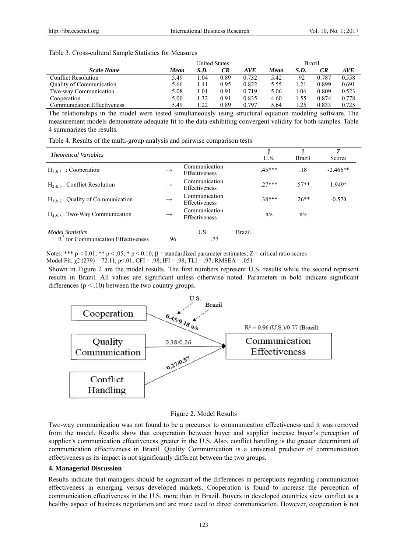|                                    | <b>United States</b> |      |      | <b>Brazil</b> |      |      |       |            |
|------------------------------------|----------------------|------|------|---------------|------|------|-------|------------|
| <b>Scale Name</b>                  | Mean                 | S.D. | CR   | AVE           | Mean | S.D. | CR    | <b>AVE</b> |
| <b>Conflict Resolution</b>         | 5.49                 | ⊟04  | 0.89 | 0.732         | 5.42 | .92  | 0.787 | 0.558      |
| Quality of Communication           | 5.66                 | 1.41 | 0.95 | 0.822         | 5.55 |      | 0.899 | 0.691      |
| Two-way Communication              | 5.08                 | 1.01 | 0.91 | 0.719         | 5.06 | .06  | 0.809 | 0.523      |
| Cooperation                        | 5.00                 | 1.32 | 0.91 | 0.835         | 4.60 | .55  | 0.874 | 0.778      |
| <b>Communication Effectiveness</b> | 5.49                 | 1.22 | 0.89 | 0.797         | 5.64 | 1.25 | 0.833 | 0.725      |

#### Table 3. Cross-cultural Sample Statistics for Measures

The relationships in the model were tested simultaneously using structural equation modeling software. The measurement models demonstrate adequate fit to the data exhibiting convergent validity for both samples. Table 4 summarizes the results.

Table 4. Results of the multi-group analysis and pairwise comparison tests

| <i>Theoretical Variables</i>                                    |               |                                       |               | U.S.    | ß<br><b>Brazil</b> | Ζ<br>Scores |
|-----------------------------------------------------------------|---------------|---------------------------------------|---------------|---------|--------------------|-------------|
| $H_{1 \& 5}$ : Cooperation                                      | $\rightarrow$ | Communication<br>Effectiveness        |               | $45***$ | .18                | $-2.466**$  |
| $H_{2,8,6}$ : Conflict Resolution                               | $\rightarrow$ | Communication<br>Effectiveness        |               | $27***$ | $57**$             | 1.949*      |
| $H_{3 \& 7}$ : Quality of Communication                         | $\rightarrow$ | Communication<br><b>Effectiveness</b> |               | $38***$ | $.26**$            | $-0.570$    |
| $H_{4,8,8}$ : Two-Way Communication                             | $\rightarrow$ | Communication<br>Effectiveness        |               | n/s     | n/s                |             |
| <b>Model Statistics</b><br>$R2$ for Communication Effectiveness | .96           | US.<br>.77                            | <b>Brazil</b> |         |                    |             |

Notes: \*\*\*  $p < 0.01$ ; \*\*  $p < 0.05$ ; \*  $p < 0.10$ ;  $\beta$  = standardized parameter estimates; Z = critical ratio scores Model Fit:  $\chi^2$  (279) = 72.11, p < 01, CFI = .98; IFI = .98; TLI = .97; RMSEA = .051

Shown in Figure 2 are the model results. The first numbers represent U.S. results while the second represent results in Brazil. All values are significant unless otherwise noted. Parameters in bold indicate significant differences ( $p < .10$ ) between the two country groups.



#### Figure 2. Model Results

Two-way communication was not found to be a precursor to communication effectiveness and it was removed from the model. Results show that cooperation between buyer and supplier increase buyer's perception of supplier's communication effectiveness greater in the U.S. Also, conflict handling is the greater determinant of communication effectiveness in Brazil. Quality Communication is a universal predictor of communication effectiveness as its impact is not significantly different between the two groups.

#### **4. Managerial Discussion**

Results indicate that managers should be cognizant of the differences in perceptions regarding communication effectiveness in emerging versus developed markets. Cooperation is found to increase the perception of communication effectiveness in the U.S. more than in Brazil. Buyers in developed countries view conflict as a healthy aspect of business negotiation and are more used to direct communication. However, cooperation is not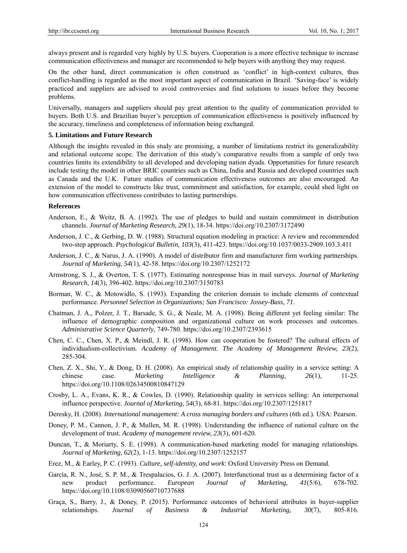always present and is regarded very highly by U.S. buyers. Cooperation is a more effective technique to increase communication effectiveness and manager are recommended to help buyers with anything they may request.

On the other hand, direct communication is often construed as 'conflict' in high-context cultures, thus conflict-handling is regarded as the most important aspect of communication in Brazil. 'Saving-face' is widely practiced and suppliers are advised to avoid controversies and find solutions to issues before they become problems.

Universally, managers and suppliers should pay great attention to the quality of communication provided to buyers. Both U.S. and Brazilian buyer's perception of communication effectiveness is positively influenced by the accuracy, timeliness and completeness of information being exchanged.

## **5. Limitations and Future Research**

Although the insights revealed in this study are promising, a number of limitations restrict its generalizability and relational outcome scope. The derivation of this study's comparative results from a sample of only two countries limits its extendibility to all developed and developing nation dyads. Opportunities for future research include testing the model in other BRIC countries such as China, India and Russia and developed countries such as Canada and the U.K. Future studies of communication effectiveness outcomes are also encouraged. An extension of the model to constructs like trust, commitment and satisfaction, for example, could shed light on how communication effectiveness contributes to lasting partnerships.

#### **References**

- Anderson, E., & Weitz, B. A. (1992). The use of pledges to build and sustain commitment in distribution channels. *Journal of Marketing Research, 29*(1), 18-34. https://doi.org/10.2307/3172490
- Anderson, J. C., & Gerbing, D. W. (1988). Structural equation modeling in practice: A review and recommended two-step approach. *Psychological Bulletin, 103*(3), 411-423. https://doi.org/10.1037/0033-2909.103.3.411
- Anderson, J. C., & Narus, J. A. (1990). A model of distributor firm and manufacturer firm working partnerships. *Journal of Marketing, 54*(1), 42-58. https://doi.org/10.2307/1252172
- Armstrong, S. J., & Overton, T. S. (1977). Estimating nonresponse bias in mail surveys. *Journal of Marketing Research, 14*(3), 396-402. https://doi.org/10.2307/3150783
- Borman, W. C., & Motowidlo, S. (1993). Expanding the criterion domain to include elements of contextual performance. *Personnel Selection in Organizations; San Francisco: Jossey-Bass, 71*.
- Chatman, J. A., Polzer, J. T., Barsade, S. G., & Neale, M. A. (1998). Being different yet feeling similar: The influence of demographic composition and organizational culture on work processes and outcomes. *Administrative Science Quarterly*, 749-780. https://doi.org/10.2307/2393615
- Chen, C. C., Chen, X. P., & Meindl, J. R. (1998). How can cooperation be fostered? The cultural effects of individualism-collectivism. *Academy of Management. The Academy of Management Review, 23*(2), 285-304.
- Chen, Z. X., Shi, Y., & Dong, D. H. (2008). An empirical study of relationship quality in a service setting: A chinese case. *Marketing Intelligence & Planning, 26*(1), 11-25. https://doi.org/10.1108/02634500810847129
- Crosby, L. A., Evans, K. R., & Cowles, D. (1990). Relationship quality in services selling: An interpersonal influence perspective. *Journal of Marketing, 54*(3), 68-81. https://doi.org/10.2307/1251817
- Deresky, H. (2008). *International management: A cross managing borders and cultures* (6th ed.). USA: Pearson.
- Doney, P. M., Cannon, J. P., & Mullen, M. R. (1998). Understanding the influence of national culture on the development of trust. *Academy of management review, 23*(3), 601-620.
- Duncan, T., & Moriarty, S. E. (1998). A communication-based marketing model for managing relationships. *Journal of Marketing, 62*(2), 1-13. https://doi.org/10.2307/1252157
- Erez, M., & Earley, P. C. (1993). *Culture, self-identity, and work*: Oxford University Press on Demand.
- García, R. N., José, S. P. M., & Trespalacios, G. J. A. (2007). Interfunctional trust as a determining factor of a new product performance. *European Journal of Marketing, 41*(5/6), 678-702. https://doi.org/10.1108/03090560710737688
- Graça, S., Barry, J., & Doney, P. (2015). Performance outcomes of behavioral attributes in buyer-supplier relationships. *Journal of Business & Industrial Marketing, 30*(7), 805-816.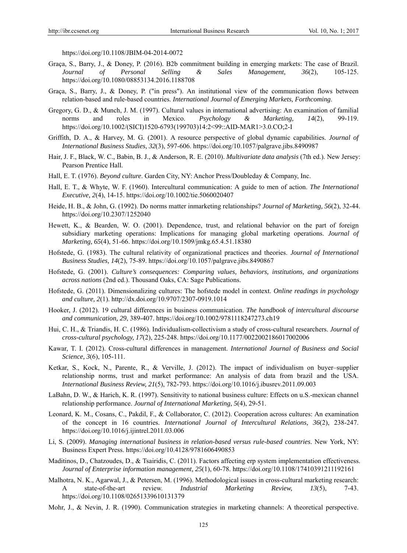https://doi.org/10.1108/JBIM-04-2014-0072

- Graça, S., Barry, J., & Doney, P. (2016). B2b commitment building in emerging markets: The case of Brazil. *Journal of Personal Selling & Sales Management, 36*(2), 105-125. https://doi.org/10.1080/08853134.2016.1188708
- Graça, S., Barry, J., & Doney, P. ("in press"). An institutional view of the communication flows between relation-based and rule-based countries. *International Journal of Emerging Markets, Forthcoming*.
- Gregory, G. D., & Munch, J. M. (1997). Cultural values in international advertising: An examination of familial norms and roles in Mexico. *Psychology & Marketing, 14*(2), 99-119. https://doi.org/10.1002/(SICI)1520-6793(199703)14:2<99::AID-MAR1>3.0.CO;2-I
- Griffith, D. A., & Harvey, M. G. (2001). A resource perspective of global dynamic capabilities. *Journal of International Business Studies, 32*(3), 597-606. https://doi.org/10.1057/palgrave.jibs.8490987
- Hair, J. F., Black, W. C., Babin, B. J., & Anderson, R. E. (2010). *Multivariate data analysis* (7th ed.). New Jersey: Pearson Prentice Hall.
- Hall, E. T. (1976). *Beyond culture*. Garden City, NY: Anchor Press/Doubleday & Company, Inc.
- Hall, E. T., & Whyte, W. F. (1960). Intercultural communication: A guide to men of action. *The International Executive, 2*(4), 14-15. https://doi.org/10.1002/tie.5060020407
- Heide, H. B., & John, G. (1992). Do norms matter inmarketing relationships? *Journal of Marketing, 56*(2), 32-44. https://doi.org/10.2307/1252040
- Hewett, K., & Bearden, W. O. (2001). Dependence, trust, and relational behavior on the part of foreign subsidiary marketing operations: Implications for managing global marketing operations. *Journal of Marketing, 65*(4), 51-66. https://doi.org/10.1509/jmkg.65.4.51.18380
- Hofstede, G. (1983). The cultural relativity of organizational practices and theories. *Journal of International Business Studies, 14*(2), 75-89. https://doi.org/10.1057/palgrave.jibs.8490867
- Hofstede, G. (2001). *Culture's consequences: Comparing values, behaviors, institutions, and organizations across nations* (2nd ed.). Thousand Oaks, CA: Sage Publications.
- Hofstede, G. (2011). Dimensionalizing cultures: The hofstede model in context. *Online readings in psychology and culture, 2*(1). http://dx.doi.org/10.9707/2307-0919.1014
- Hooker, J. (2012). 19 cultural differences in business communication. *The handbook of intercultural discourse and communication, 29*, 389-407. https://doi.org/10.1002/9781118247273.ch19
- Hui, C. H., & Triandis, H. C. (1986). Individualism-collectivism a study of cross-cultural researchers. *Journal of cross-cultural psychology, 17*(2), 225-248. https://doi.org/10.1177/0022002186017002006
- Kawar, T. I. (2012). Cross-cultural differences in management. *International Journal of Business and Social Science, 3*(6), 105-111.
- Ketkar, S., Kock, N., Parente, R., & Verville, J. (2012). The impact of individualism on buyer–supplier relationship norms, trust and market performance: An analysis of data from brazil and the USA. *International Business Review, 21*(5), 782-793. https://doi.org/10.1016/j.ibusrev.2011.09.003
- LaBahn, D. W., & Harich, K. R. (1997). Sensitivity to national business culture: Effects on u.S.-mexican channel relationship performance. *Journal of International Marketing, 5*(4), 29-51.
- Leonard, K. M., Cosans, C., Pakdil, F., & Collaborator, C. (2012). Cooperation across cultures: An examination of the concept in 16 countries. *International Journal of Intercultural Relations, 36*(2), 238-247. https://doi.org/10.1016/j.ijintrel.2011.03.006
- Li, S. (2009). *Managing international business in relation-based versus rule-based countries*. New York, NY: Business Expert Press. https://doi.org/10.4128/9781606490853
- Maditinos, D., Chatzoudes, D., & Tsairidis, C. (2011). Factors affecting erp system implementation effectiveness. *Journal of Enterprise information management, 25*(1), 60-78. https://doi.org/10.1108/17410391211192161
- Malhotra, N. K., Agarwal, J., & Petersen, M. (1996). Methodological issues in cross-cultural marketing research: A state-of-the-art review. *Industrial Marketing Review, 13*(5), 7-43. https://doi.org/10.1108/02651339610131379
- Mohr, J., & Nevin, J. R. (1990). Communication strategies in marketing channels: A theoretical perspective.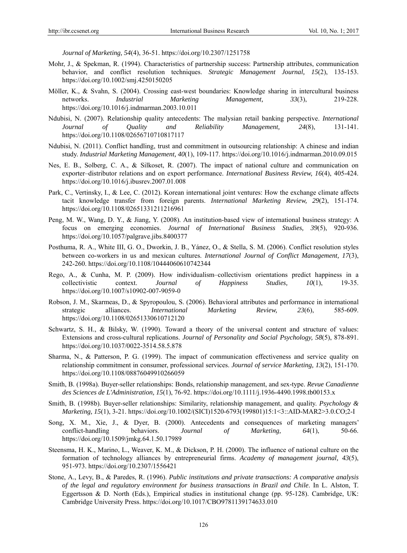*Journal of Marketing, 54*(4), 36-51. https://doi.org/10.2307/1251758

- Mohr, J., & Spekman, R. (1994). Characteristics of partnership success: Partnership attributes, communication behavior, and conflict resolution techniques. *Strategic Management Journal, 15*(2), 135-153. https://doi.org/10.1002/smj.4250150205
- Möller, K., & Svahn, S. (2004). Crossing east-west boundaries: Knowledge sharing in intercultural business networks. *Industrial Marketing Management, 33*(3), 219-228. https://doi.org/10.1016/j.indmarman.2003.10.011
- Ndubisi, N. (2007). Relationship quality antecedents: The malysian retail banking perspective. *International Journal of Quality and Reliability Management, 24*(8), 131-141. https://doi.org/10.1108/02656710710817117
- Ndubisi, N. (2011). Conflict handling, trust and commitment in outsourcing relationship: A chinese and indian study. *Industrial Marketing Management, 40*(1), 109-117. https://doi.org/10.1016/j.indmarman.2010.09.015
- Nes, E. B., Solberg, C. A., & Silkoset, R. (2007). The impact of national culture and communication on exporter–distributor relations and on export performance. *International Business Review, 16*(4), 405-424. https://doi.org/10.1016/j.ibusrev.2007.01.008
- Park, C., Vertinsky, I., & Lee, C. (2012). Korean international joint ventures: How the exchange climate affects tacit knowledge transfer from foreign parents. *International Marketing Review, 29*(2), 151-174. https://doi.org/10.1108/02651331211216961
- Peng, M. W., Wang, D. Y., & Jiang, Y. (2008). An institution-based view of international business strategy: A focus on emerging economies. *Journal of International Business Studies, 39*(5), 920-936. https://doi.org/10.1057/palgrave.jibs.8400377
- Posthuma, R. A., White III, G. O., Dworkin, J. B., Yánez, O., & Stella, S. M. (2006). Conflict resolution styles between co-workers in us and mexican cultures. *International Journal of Conflict Management, 17*(3), 242-260. https://doi.org/10.1108/10444060610742344
- Rego, A., & Cunha, M. P. (2009). How individualism–collectivism orientations predict happiness in a collectivistic context. *Journal of Happiness Studies, 10*(1), 19-35. https://doi.org/10.1007/s10902-007-9059-0
- Robson, J. M., Skarmeas, D., & Spyropoulou, S. (2006). Behavioral attributes and performance in international strategic alliances. *International Marketing Review, 23*(6), 585-609. https://doi.org/10.1108/02651330610712120
- Schwartz, S. H., & Bilsky, W. (1990). Toward a theory of the universal content and structure of values: Extensions and cross-cultural replications. *Journal of Personality and Social Psychology, 58*(5), 878-891. https://doi.org/10.1037/0022-3514.58.5.878
- Sharma, N., & Patterson, P. G. (1999). The impact of communication effectiveness and service quality on relationship commitment in consumer, professional services. *Journal of service Marketing, 13*(2), 151-170. https://doi.org/10.1108/08876049910266059
- Smith, B. (1998a). Buyer-seller relationships: Bonds, relationship management, and sex-type. *Revue Canadienne des Sciences de L'Administration, 15*(1), 76-92. https://doi.org/10.1111/j.1936-4490.1998.tb00153.x
- Smith, B. (1998b). Buyer-seller relationships: Similarity, relationship management, and quality. *Psychology & Marketing, 15*(1), 3-21. https://doi.org/10.1002/(SICI)1520-6793(199801)15:1<3::AID-MAR2>3.0.CO;2-I
- Song, X. M., Xie, J., & Dyer, B. (2000). Antecedents and consequences of marketing managers' conflict-handling behaviors. *Journal of Marketing, 64*(1), 50-66. https://doi.org/10.1509/jmkg.64.1.50.17989
- Steensma, H. K., Marino, L., Weaver, K. M., & Dickson, P. H. (2000). The influence of national culture on the formation of technology alliances by entrepreneurial firms. *Academy of management journal, 43*(5), 951-973. https://doi.org/10.2307/1556421
- Stone, A., Levy, B., & Paredes, R. (1996). *Public institutions and private transactions: A comparative analysis of the legal and regulatory environment for business transactions in Brazil and Chile*. In L. Alston, T. Eggertsson & D. North (Eds.), Empirical studies in institutional change (pp. 95-128). Cambridge, UK: Cambridge University Press. https://doi.org/10.1017/CBO9781139174633.010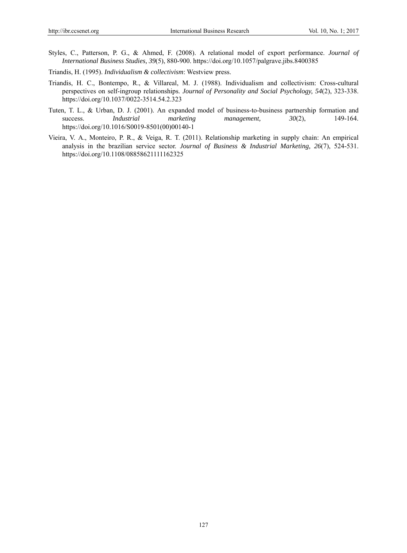- Styles, C., Patterson, P. G., & Ahmed, F. (2008). A relational model of export performance. *Journal of International Business Studies, 39*(5), 880-900. https://doi.org/10.1057/palgrave.jibs.8400385
- Triandis, H. (1995). *Individualism & collectivism*: Westview press.
- Triandis, H. C., Bontempo, R., & Villareal, M. J. (1988). Individualism and collectivism: Cross-cultural perspectives on self-ingroup relationships. *Journal of Personality and Social Psychology, 54*(2), 323-338. https://doi.org/10.1037/0022-3514.54.2.323
- Tuten, T. L., & Urban, D. J. (2001). An expanded model of business-to-business partnership formation and success. *Industrial marketing management, 30(2)*, 149-164. https://doi.org/10.1016/S0019-8501(00)00140-1
- Vieira, V. A., Monteiro, P. R., & Veiga, R. T. (2011). Relationship marketing in supply chain: An empirical analysis in the brazilian service sector. *Journal of Business & Industrial Marketing, 26*(7), 524-531. https://doi.org/10.1108/08858621111162325